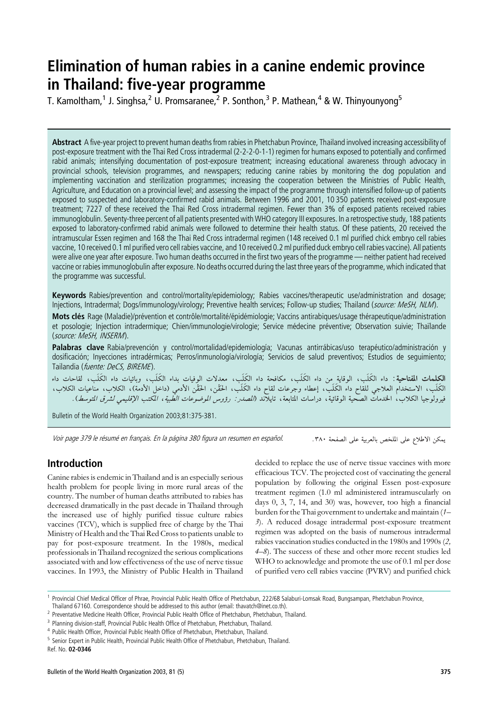# Elimination of human rabies in a canine endemic province in Thailand: five-year programme

T. Kamoltham,<sup>1</sup> J. Singhsa,<sup>2</sup> U. Promsaranee,<sup>2</sup> P. Sonthon,<sup>3</sup> P. Mathean,<sup>4</sup> & W. Thinyounyong<sup>5</sup>

Abstract A five-year project to prevent human deaths from rabies in Phetchabun Province, Thailand involved increasing accessibility of post-exposure treatment with the Thai Red Cross intradermal (2-2-2-0-1-1) regimen for humans exposed to potentially and confirmed rabid animals; intensifying documentation of post-exposure treatment; increasing educational awareness through advocacy in provincial schools, television programmes, and newspapers; reducing canine rabies by monitoring the dog population and implementing vaccination and sterilization programmes; increasing the cooperation between the Ministries of Public Health, Agriculture, and Education on a provincial level; and assessing the impact of the programme through intensified follow-up of patients exposed to suspected and laboratory-confirmed rabid animals. Between 1996 and 2001, 10 350 patients received post-exposure treatment; 7227 of these received the Thai Red Cross intradermal regimen. Fewer than 3% of exposed patients received rabies immunoglobulin. Seventy-three percent of all patients presented with WHO category III exposures. In a retrospective study, 188 patients exposed to laboratory-confirmed rabid animals were followed to determine their health status. Of these patients, 20 received the intramuscular Essen regimen and 168 the Thai Red Cross intradermal regimen (148 received 0.1 ml purified chick embryo cell rabies vaccine, 10 received 0.1 ml purified vero cell rabies vaccine, and 10 received 0.2 ml purified duck embryo cell rabies vaccine). All patients were alive one year after exposure. Two human deaths occurred in the first two years of the programme — neither patient had received vaccine or rabies immunoglobulin after exposure. No deaths occurred during the last three years of the programme, which indicated that the programme was successful.

Keywords Rabies/prevention and control/mortality/epidemiology; Rabies vaccines/therapeutic use/administration and dosage; Injections, Intradermal; Dogs/immunology/virology; Preventive health services; Follow-up studies; Thailand (source: MeSH, NLM).

Mots clés Rage (Maladie)/prévention et contrôle/mortalité/épidémiologie: Vaccins antirabiques/usage thérapeutique/administration et posologie; Injection intradermique; Chien/immunologie/virologie; Service médecine préventive; Observation suivie; Thaïlande (source: MeSH, INSERM).

Palabras clave Rabia/prevención y control/mortalidad/epidemiología; Vacunas antirrábicas/uso terapéutico/administración y dosificación; Inyecciones intradérmicas; Perros/inmunología/virología; Servicios de salud preventivos; Estudios de seguimiento; Tailandia (fuente: DeCS, BIREME).

**الكلمات المفتاحية**: داء الكَلَب، الوقاية من داء الكَلَب، مكافحة داء الكَلَب، معدلات الوفيات بداء الكَلَب، وبائيات داء الكَلَب، لقاحات داء الكَلَب، الاستخدام العلاجي للقاح داء الكَلَب، إعطاء وجرعات لقاح داء الكَلَب، الحَقّْن الأدمى (داخل الأدمة)، الكلاب، مناعيات الكلاب، فيرولوجيا الكلاب، الخدمات الصحية الوقائية، دراسات المتابعة، تايلاند (*الصدر : رؤوس الموضوعات الطبية، المكتب الإقليمي لشرق المتوسط*).

Bulletin of the World Health Organization 2003;81:375-381.

Voir page 379 le résumé en français. En la página 380 figura un resumen en español.

يمكن الاطلاع على الملخص بالعربية على الصفحة ٣٨٠.

# Introduction

Canine rabies is endemic in Thailand and is an especially serious health problem for people living in more rural areas of the country. The number of human deaths attributed to rabies has decreased dramatically in the past decade in Thailand through the increased use of highly purified tissue culture rabies vaccines (TCV), which is supplied free of charge by the Thai Ministry of Health and the Thai Red Cross to patients unable to pay for post-exposure treatment. In the 1980s, medical professionals in Thailand recognized the serious complications associated with and low effectiveness of the use of nerve tissue vaccines. In 1993, the Ministry of Public Health in Thailand

decided to replace the use of nerve tissue vaccines with more efficacious TCV. The projected cost of vaccinating the general population by following the original Essen post-exposure treatment regimen (1.0 ml administered intramuscularly on days 0, 3, 7, 14, and 30) was, however, too high a financial burden for the Thai government to undertake and maintain (1– 3). A reduced dosage intradermal post-exposure treatment regimen was adopted on the basis of numerous intradermal rabies vaccination studies conducted in the 1980s and 1990s (2, 4–8). The success of these and other more recent studies led WHO to acknowledge and promote the use of 0.1 ml per dose of purified vero cell rabies vaccine (PVRV) and purified chick

<sup>1</sup> Provincial Chief Medical Officer of Phrae, Provincial Public Health Office of Phetchabun, 222/68 Salaburi-Lomsak Road, Bungsampan, Phetchabun Province, Thailand 67160. Correspondence should be addressed to this author (email: thavatch@inet.co.th).

<sup>&</sup>lt;sup>2</sup> Preventative Medicine Health Officer, Provincial Public Health Office of Phetchabun, Phetchabun, Thailand.

<sup>&</sup>lt;sup>3</sup> Planning division-staff, Provincial Public Health Office of Phetchabun, Phetchabun, Thailand.

<sup>4</sup> Public Health Officer, Provincial Public Health Office of Phetchabun, Phetchabun, Thailand.

<sup>&</sup>lt;sup>5</sup> Senior Expert in Public Health, Provincial Public Health Office of Phetchabun, Phetchabun, Thailand.

Ref. No. 02-0346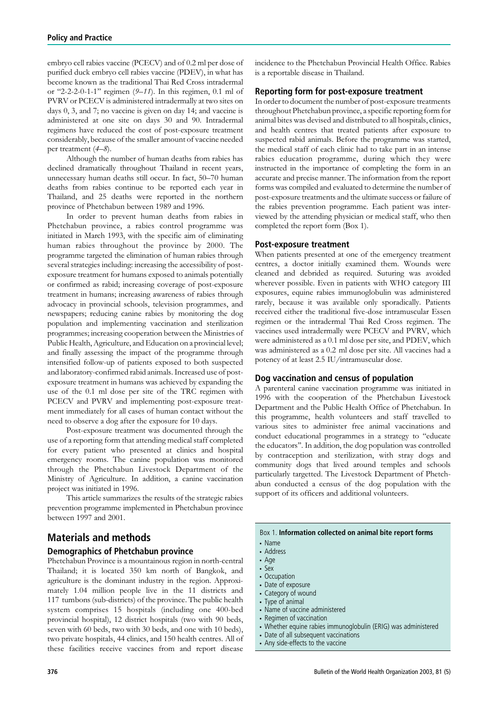embryo cell rabies vaccine (PCECV) and of 0.2 ml per dose of purified duck embryo cell rabies vaccine (PDEV), in what has become known as the traditional Thai Red Cross intradermal or "2-2-2-0-1-1" regimen  $(9-11)$ . In this regimen, 0.1 ml of PVRV or PCECV is administered intradermally at two sites on days 0, 3, and 7; no vaccine is given on day 14; and vaccine is administered at one site on days 30 and 90. Intradermal regimens have reduced the cost of post-exposure treatment considerably, because of the smaller amount of vaccine needed per treatment (4–8).

Although the number of human deaths from rabies has declined dramatically throughout Thailand in recent years, unnecessary human deaths still occur. In fact, 50–70 human deaths from rabies continue to be reported each year in Thailand, and 25 deaths were reported in the northern province of Phetchabun between 1989 and 1996.

In order to prevent human deaths from rabies in Phetchabun province, a rabies control programme was initiated in March 1993, with the specific aim of eliminating human rabies throughout the province by 2000. The programme targeted the elimination of human rabies through several strategies including: increasing the accessibility of postexposure treatment for humans exposed to animals potentially or confirmed as rabid; increasing coverage of post-exposure treatment in humans; increasing awareness of rabies through advocacy in provincial schools, television programmes, and newspapers; reducing canine rabies by monitoring the dog population and implementing vaccination and sterilization programmes; increasing cooperation between the Ministries of Public Health, Agriculture, and Education on a provincial level; and finally assessing the impact of the programme through intensified follow-up of patients exposed to both suspected and laboratory-confirmed rabid animals. Increased use of postexposure treatment in humans was achieved by expanding the use of the 0.1 ml dose per site of the TRC regimen with PCECV and PVRV and implementing post-exposure treatment immediately for all cases of human contact without the need to observe a dog after the exposure for 10 days.

Post-exposure treatment was documented through the use of a reporting form that attending medical staff completed for every patient who presented at clinics and hospital emergency rooms. The canine population was monitored through the Phetchabun Livestock Department of the Ministry of Agriculture. In addition, a canine vaccination project was initiated in 1996.

This article summarizes the results of the strategic rabies prevention programme implemented in Phetchabun province between 1997 and 2001.

# Materials and methods

## Demographics of Phetchabun province

Phetchabun Province is a mountainous region in north-central Thailand; it is located 350 km north of Bangkok, and agriculture is the dominant industry in the region. Approximately 1.04 million people live in the 11 districts and 117 tumbons (sub-districts) of the province. The public health system comprises 15 hospitals (including one 400-bed provincial hospital), 12 district hospitals (two with 90 beds, seven with 60 beds, two with 30 beds, and one with 10 beds), two private hospitals, 44 clinics, and 150 health centres. All of these facilities receive vaccines from and report disease

incidence to the Phetchabun Provincial Health Office. Rabies is a reportable disease in Thailand.

### Reporting form for post-exposure treatment

In order to document the number of post-exposure treatments throughout Phetchabun province, a specific reporting form for animal bites was devised and distributed to all hospitals, clinics, and health centres that treated patients after exposure to suspected rabid animals. Before the programme was started, the medical staff of each clinic had to take part in an intense rabies education programme, during which they were instructed in the importance of completing the form in an accurate and precise manner. The information from the report forms was compiled and evaluated to determine the number of post-exposure treatments and the ultimate success or failure of the rabies prevention programme. Each patient was interviewed by the attending physician or medical staff, who then completed the report form (Box 1).

#### Post-exposure treatment

When patients presented at one of the emergency treatment centres, a doctor initially examined them. Wounds were cleaned and debrided as required. Suturing was avoided wherever possible. Even in patients with WHO category III exposures, equine rabies immunoglobulin was administered rarely, because it was available only sporadically. Patients received either the traditional five-dose intramuscular Essen regimen or the intradermal Thai Red Cross regimen. The vaccines used intradermally were PCECV and PVRV, which were administered as a 0.1 ml dose per site, and PDEV, which was administered as a 0.2 ml dose per site. All vaccines had a potency of at least 2.5 IU/intramuscular dose.

#### Dog vaccination and census of population

A parenteral canine vaccination programme was initiated in 1996 with the cooperation of the Phetchabun Livestock Department and the Public Health Office of Phetchabun. In this programme, health volunteers and staff travelled to various sites to administer free animal vaccinations and conduct educational programmes in a strategy to ''educate the educators''. In addition, the dog population was controlled by contraception and sterilization, with stray dogs and community dogs that lived around temples and schools particularly targetted. The Livestock Department of Phetchabun conducted a census of the dog population with the support of its officers and additional volunteers.

#### Box 1. Information collected on animal bite report forms

- . Name
- . Address
- . Age
- . Sex
- . Occupation
- . Date of exposure
- . Category of wound
- . Type of animal
- . Name of vaccine administered
- . Regimen of vaccination
- . Whether equine rabies immunoglobulin (ERIG) was administered
- . Date of all subsequent vaccinations
- . Any side-effects to the vaccine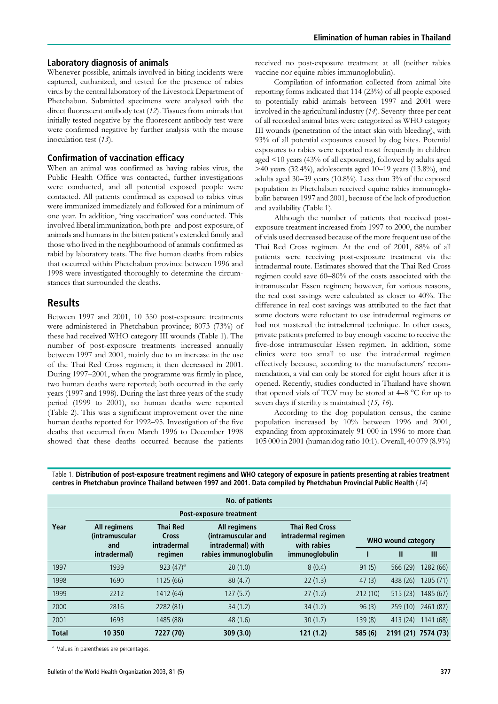#### Laboratory diagnosis of animals

Whenever possible, animals involved in biting incidents were captured, euthanized, and tested for the presence of rabies virus by the central laboratory of the Livestock Department of Phetchabun. Submitted specimens were analysed with the direct fluorescent antibody test (12). Tissues from animals that initially tested negative by the fluorescent antibody test were were confirmed negative by further analysis with the mouse inoculation test  $(13)$ .

### Confirmation of vaccination efficacy

When an animal was confirmed as having rabies virus, the Public Health Office was contacted, further investigations were conducted, and all potential exposed people were contacted. All patients confirmed as exposed to rabies virus were immunized immediately and followed for a minimum of one year. In addition, 'ring vaccination' was conducted. This involved liberal immunization, both pre- and post-exposure, of animals and humans in the bitten patient's extended family and those who lived in the neighbourhood of animals confirmed as rabid by laboratory tests. The five human deaths from rabies that occurred within Phetchabun province between 1996 and 1998 were investigated thoroughly to determine the circumstances that surrounded the deaths.

## Results

Between 1997 and 2001, 10 350 post-exposure treatments were administered in Phetchabun province; 8073 (73%) of these had received WHO category III wounds (Table 1). The number of post-exposure treatments increased annually between 1997 and 2001, mainly due to an increase in the use of the Thai Red Cross regimen; it then decreased in 2001. During 1997–2001, when the programme was firmly in place, two human deaths were reported; both occurred in the early years (1997 and 1998). During the last three years of the study period (1999 to 2001), no human deaths were reported (Table 2). This was a significant improvement over the nine human deaths reported for 1992–95. Investigation of the five deaths that occurred from March 1996 to December 1998 showed that these deaths occurred because the patients

received no post-exposure treatment at all (neither rabies vaccine nor equine rabies immunoglobulin).

Compilation of information collected from animal bite reporting forms indicated that 114 (23%) of all people exposed to potentially rabid animals between 1997 and 2001 were involved in the agricultural industry (14). Seventy-three per cent of all recorded animal bites were categorized as WHO category III wounds (penetration of the intact skin with bleeding), with 93% of all potential exposures caused by dog bites. Potential exposures to rabies were reported most frequently in children aged <10 years (43% of all exposures), followed by adults aged  $>40$  years (32.4%), adolescents aged 10–19 years (13.8%), and adults aged 30–39 years (10.8%). Less than 3% of the exposed population in Phetchabun received equine rabies immunoglobulin between 1997 and 2001, because of the lack of production and availability (Table 1).

Although the number of patients that received postexposure treatment increased from 1997 to 2000, the number of vials used decreased because of the more frequent use of the Thai Red Cross regimen. At the end of 2001, 88% of all patients were receiving post-exposure treatment via the intradermal route. Estimates showed that the Thai Red Cross regimen could save 60–80% of the costs associated with the intramuscular Essen regimen; however, for various reasons, the real cost savings were calculated as closer to 40%. The difference in real cost savings was attributed to the fact that some doctors were reluctant to use intradermal regimens or had not mastered the intradermal technique. In other cases, private patients preferred to buy enough vaccine to receive the five-dose intramuscular Essen regimen. In addition, some clinics were too small to use the intradermal regimen effectively because, according to the manufacturers' recommendation, a vial can only be stored for eight hours after it is opened. Recently, studies conducted in Thailand have shown that opened vials of TCV may be stored at 4–8 °C for up to seven days if sterility is maintained (15, 16).

According to the dog population census, the canine population increased by 10% between 1996 and 2001, expanding from approximately 91 000 in 1996 to more than 105 000 in 2001 (human:dog ratio 10:1). Overall, 40 079 (8.9%)

| No. of patients |                                               |                                                |                                                         |                                                             |                           |                     |           |  |  |
|-----------------|-----------------------------------------------|------------------------------------------------|---------------------------------------------------------|-------------------------------------------------------------|---------------------------|---------------------|-----------|--|--|
|                 |                                               |                                                |                                                         |                                                             |                           |                     |           |  |  |
| Year            | All regimens<br><i>(intramuscular)</i><br>and | <b>Thai Red</b><br><b>Cross</b><br>intradermal | All regimens<br>(intramuscular and<br>intradermal) with | <b>Thai Red Cross</b><br>intradermal regimen<br>with rabies | <b>WHO wound category</b> |                     |           |  |  |
|                 | intradermal)                                  | regimen                                        | rabies immunoglobulin                                   | immunoglobulin                                              |                           | $\mathbf{I}$        | Ш         |  |  |
| 1997            | 1939                                          | 923 $(47)^a$                                   | 20(1.0)                                                 | 8(0.4)                                                      | 91(5)                     | 566 (29)            | 1282 (66) |  |  |
| 1998            | 1690                                          | 1125 (66)                                      | 80(4.7)                                                 | 22(1.3)                                                     | 47(3)                     | 438 (26)            | 1205 (71) |  |  |
| 1999            | 2212                                          | 1412 (64)                                      | 127(5.7)                                                | 27(1.2)                                                     | 212(10)                   | 515(23)             | 1485 (67) |  |  |
| 2000            | 2816                                          | 2282 (81)                                      | 34(1.2)                                                 | 34(1.2)                                                     | 96(3)                     | 259(10)             | 2461 (87) |  |  |
| 2001            | 1693                                          | 1485 (88)                                      | 48(1.6)                                                 | 30(1.7)                                                     | 139(8)                    | 413 (24)            | 1141(68)  |  |  |
| <b>Total</b>    | 10 350                                        | 7227 (70)                                      | 309(3.0)                                                | 121(1.2)                                                    | 585(6)                    | 2191 (21) 7574 (73) |           |  |  |

Table 1. Distribution of post-exposure treatment regimens and WHO category of exposure in patients presenting at rabies treatment centres in Phetchabun province Thailand between 1997 and 2001. Data compiled by Phetchabun Provincial Public Health (14 )

<sup>a</sup> Values in parentheses are percentages.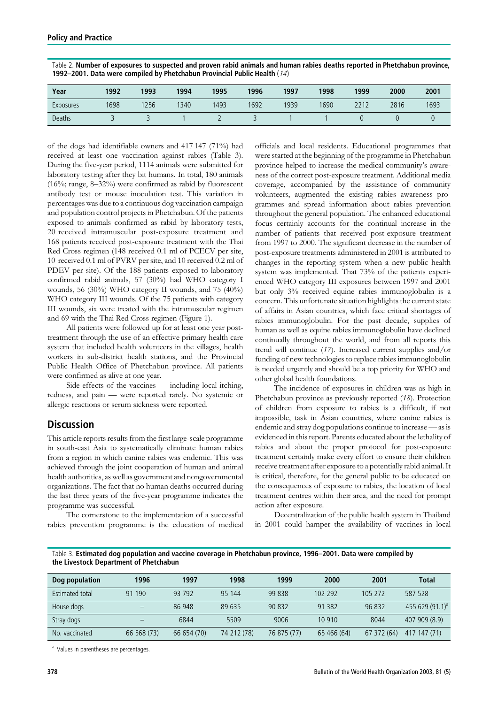| Year      | 1992 | 1993 | 1994 | 1995 | 1996 | 1997 | 1998 | 1999 | 2000 | 2001 |
|-----------|------|------|------|------|------|------|------|------|------|------|
| Exposures | 1698 | 256  | 340  | 1493 | 1692 | 1939 | 1690 | 2212 | 2816 | 1693 |
| Deaths    |      |      |      |      | -    |      |      |      |      |      |

Table 2. Number of exposures to suspected and proven rabid animals and human rabies deaths reported in Phetchabun province, 1992–2001. Data were compiled by Phetchabun Provincial Public Health (14)

of the dogs had identifiable owners and 417 147 (71%) had received at least one vaccination against rabies (Table 3). During the five-year period, 1114 animals were submitted for laboratory testing after they bit humans. In total, 180 animals (16%; range, 8–32%) were confirmed as rabid by fluorescent antibody test or mouse inoculation test. This variation in percentages was due to a continuous dog vaccination campaign and population control projects in Phetchabun. Of the patients exposed to animals confirmed as rabid by laboratory tests, 20 received intramuscular post-exposure treatment and 168 patients received post-exposure treatment with the Thai Red Cross regimen (148 received 0.1 ml of PCECV per site, 10 received 0.1 ml of PVRV per site, and 10 received 0.2 ml of PDEV per site). Of the 188 patients exposed to laboratory confirmed rabid animals, 57 (30%) had WHO category I wounds, 56 (30%) WHO category II wounds, and 75 (40%) WHO category III wounds. Of the 75 patients with category III wounds, six were treated with the intramuscular regimen and 69 with the Thai Red Cross regimen (Figure 1).

All patients were followed up for at least one year posttreatment through the use of an effective primary health care system that included health volunteers in the villages, health workers in sub-district health stations, and the Provincial Public Health Office of Phetchabun province. All patients were confirmed as alive at one year.

Side-effects of the vaccines — including local itching, redness, and pain — were reported rarely. No systemic or allergic reactions or serum sickness were reported.

# **Discussion**

This article reports results from the first large-scale programme in south-east Asia to systematically eliminate human rabies from a region in which canine rabies was endemic. This was achieved through the joint cooperation of human and animal health authorities, as well as government and nongovernmental organizations. The fact that no human deaths occurred during the last three years of the five-year programme indicates the programme was successful.

The cornerstone to the implementation of a successful rabies prevention programme is the education of medical officials and local residents. Educational programmes that were started at the beginning of the programme in Phetchabun province helped to increase the medical community's awareness of the correct post-exposure treatment. Additional media coverage, accompanied by the assistance of community volunteers, augmented the existing rabies awareness programmes and spread information about rabies prevention throughout the general population. The enhanced educational focus certainly accounts for the continual increase in the number of patients that received post-exposure treatment from 1997 to 2000. The significant decrease in the number of post-exposure treatments administered in 2001 is attributed to changes in the reporting system when a new public health system was implemented. That 73% of the patients experienced WHO category III exposures between 1997 and 2001 but only 3% received equine rabies immunoglobulin is a concern. This unfortunate situation highlights the current state of affairs in Asian countries, which face critical shortages of rabies immunoglobulin. For the past decade, supplies of human as well as equine rabies immunoglobulin have declined continually throughout the world, and from all reports this trend will continue (17). Increased current supplies and/or funding of new technologies to replace rabies immunoglobulin is needed urgently and should be a top priority for WHO and other global health foundations.

The incidence of exposures in children was as high in Phetchabun province as previously reported (18). Protection of children from exposure to rabies is a difficult, if not impossible, task in Asian countries, where canine rabies is endemic and stray dog populations continue to increase — as is evidenced in this report. Parents educated about the lethality of rabies and about the proper protocol for post-exposure treatment certainly make every effort to ensure their children receive treatment after exposure to a potentially rabid animal. It is critical, therefore, for the general public to be educated on the consequences of exposure to rabies, the location of local treatment centres within their area, and the need for prompt action after exposure.

Decentralization of the public health system in Thailand in 2001 could hamper the availability of vaccines in local

Table 3. Estimated dog population and vaccine coverage in Phetchabun province, 1996–2001. Data were compiled by the Livestock Department of Phetchabun

| Dog population  | 1996                     | 1997        | 1998        | 1999        | 2000        | 2001        | <b>Total</b>       |
|-----------------|--------------------------|-------------|-------------|-------------|-------------|-------------|--------------------|
| Estimated total | 91 190                   | 93 792      | 95 144      | 99 838      | 102 292     | 105 272     | 587 528            |
| House dogs      | $\overline{\phantom{0}}$ | 86 948      | 89 635      | 90 832      | 91 382      | 96 832      | 455 629 $(91.1)^a$ |
| Stray dogs      |                          | 6844        | 5509        | 9006        | 10 910      | 8044        | 407 909 (8.9)      |
| No. vaccinated  | 66 568 (73)              | 66 654 (70) | 74 212 (78) | 76 875 (77) | 65 466 (64) | 67 372 (64) | 417 147 (71)       |

<sup>a</sup> Values in parentheses are percentages.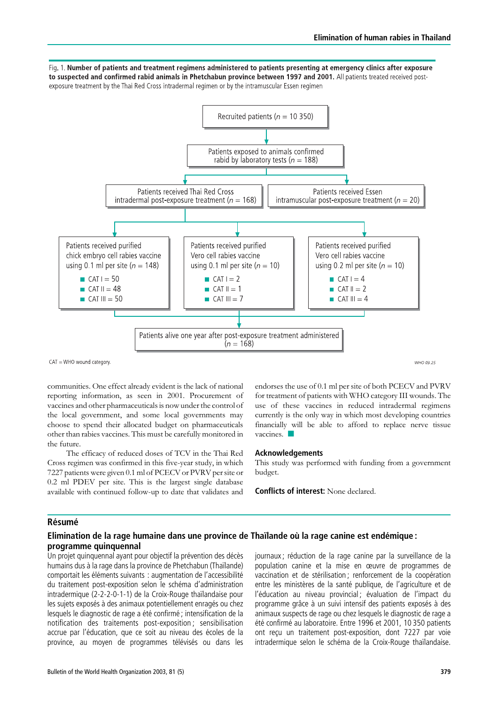Fig. 1. Number of patients and treatment regimens administered to patients presenting at emergency clinics after exposure to suspected and confirmed rabid animals in Phetchabun province between 1997 and 2001. All patients treated received postexposure treatment by the Thai Red Cross intradermal regimen or by the intramuscular Essen regimen



WHO 03.25

communities. One effect already evident is the lack of national reporting information, as seen in 2001. Procurement of vaccines and other pharmaceuticals is now under the control of the local government, and some local governments may choose to spend their allocated budget on pharmaceuticals other than rabies vaccines. This must be carefully monitored in the future.

The efficacy of reduced doses of TCV in the Thai Red Cross regimen was confirmed in this five-year study, in which 7227 patients were given 0.1 ml of PCECV or PVRV per site or 0.2 ml PDEV per site. This is the largest single database available with continued follow-up to date that validates and endorses the use of 0.1 ml per site of both PCECV and PVRV for treatment of patients with WHO category III wounds. The use of these vaccines in reduced intradermal regimens currently is the only way in which most developing countries financially will be able to afford to replace nerve tissue vaccines.  $\Box$ 

#### Acknowledgements

This study was performed with funding from a government budget.

Conflicts of interest: None declared.

### **Résumé**

## Elimination de la rage humaine dans une province de Thaïlande où la rage canine est endémique : programme quinquennal

Un projet quinquennal ayant pour objectif la prévention des décès humains dus à la rage dans la province de Phetchabun (Thaïlande) comportait les éléments suivants : augmentation de l'accessibilité du traitement post-exposition selon le schéma d'administration intradermique (2-2-2-0-1-1) de la Croix-Rouge thaïlandaise pour les sujets exposés à des animaux potentiellement enragés ou chez lesquels le diagnostic de rage a été confirmé ; intensification de la notification des traitements post-exposition ; sensibilisation accrue par l'éducation, que ce soit au niveau des écoles de la province, au moyen de programmes télévisés ou dans les

journaux : réduction de la rage canine par la surveillance de la population canine et la mise en œuvre de programmes de vaccination et de stérilisation ; renforcement de la coopération entre les ministères de la santé publique, de l'agriculture et de l'éducation au niveau provincial ; évaluation de l'impact du programme grâce à un suivi intensif des patients exposés à des animaux suspects de rage ou chez lesquels le diagnostic de rage a été confirmé au laboratoire. Entre 1996 et 2001, 10 350 patients ont reçu un traitement post-exposition, dont 7227 par voie intradermique selon le schéma de la Croix-Rouge thaïlandaise.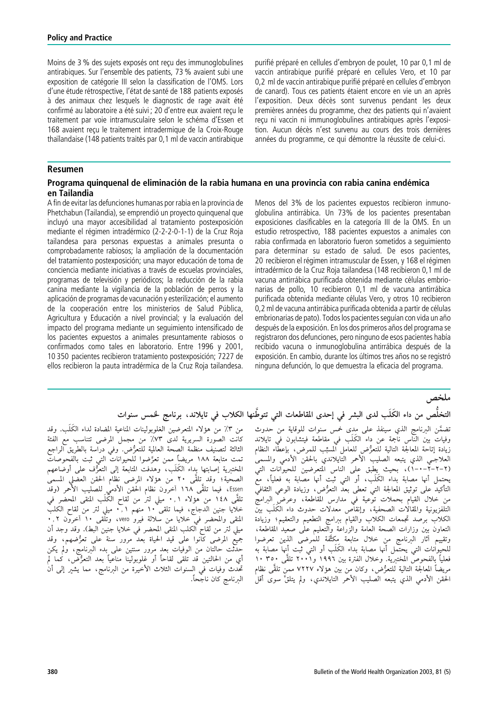Moins de 3 % des sujets exposés ont recu des immunoglobulines antirabiques. Sur l'ensemble des patients, 73 % avaient subi une exposition de catégorie III selon la classification de l'OMS. Lors d'une étude rétrospective, l'état de santé de 188 patients exposés à des animaux chez lesquels le diagnostic de rage avait été confirmé au laboratoire a été suivi ; 20 d'entre eux avaient reçu le traitement par voie intramusculaire selon le schéma d'Essen et 168 avaient reçu le traitement intradermique de la Croix-Rouge thaïlandaise (148 patients traités par 0,1 ml de vaccin antirabique purifié préparé en cellules d'embryon de poulet. 10 par 0,1 ml de vaccin antirabique purifié préparé en cellules Vero, et 10 pare 0,2 ml de vaccin antirabique purifié préparé en cellules d'embryon de canard). Tous ces patients étaient encore en vie un an après l'exposition. Deux décès sont survenus pendant les deux premières années du programme, chez des patients qui n'avaient reçu ni vaccin ni immunoglobulines antirabiques après l'exposition. Aucun décès n'est survenu au cours des trois dernières années du programme, ce qui démontre la réussite de celui-ci.

## Resumen

## Programa guinguenal de eliminación de la rabia humana en una provincia con rabia canina endémica en Tailandia

A fin de evitar las defunciones humanas por rabia en la provincia de Phetchabun (Tailandia), se emprendió un proyecto quinquenal que incluyó una mayor accesibilidad al tratamiento postexposición mediante el régimen intradérmico (2-2-2-0-1-1) de la Cruz Roja tailandesa para personas expuestas a animales presunta o comprobadamente rabiosos; la ampliación de la documentación del tratamiento postexposición; una mayor educación de toma de conciencia mediante iniciativas a través de escuelas provinciales, programas de televisión y periódicos; la reducción de la rabia canina mediante la vigilancia de la población de perros y la aplicación de programas de vacunación y esterilización; el aumento de la cooperación entre los ministerios de Salud Pública, Agricultura y Educación a nivel provincial; y la evaluación del impacto del programa mediante un seguimiento intensificado de los pacientes expuestos a animales presuntamente rabiosos o confirmados como tales en laboratorio. Entre 1996 y 2001, 10 350 pacientes recibieron tratamiento postexposición; 7227 de ellos recibieron la pauta intradérmica de la Cruz Roja tailandesa.

Menos del 3% de los pacientes expuestos recibieron inmunoglobulina antirrábica. Un 73% de los pacientes presentaban exposiciones clasificables en la categoría III de la OMS. En un estudio retrospectivo, 188 pacientes expuestos a animales con rabia confirmada en laboratorio fueron sometidos a seguimiento para determinar su estado de salud. De esos pacientes, 20 recibieron el régimen intramuscular de Essen, y 168 el régimen intradérmico de la Cruz Roja tailandesa (148 recibieron 0,1 ml de vacuna antirrábica purificada obtenida mediante células embrionarias de pollo, 10 recibieron 0,1 ml de vacuna antirrábica purificada obtenida mediante células Vero, y otros 10 recibieron 0,2 ml de vacuna antirrábica purificada obtenida a partir de células embrionarias de pato). Todos los pacientes seguían con vida un año después de la exposición. En los dos primeros años del programa se registraron dos defunciones, pero ninguno de esos pacientes habı´a recibido vacuna o inmunoglobulina antirrábica después de la exposición. En cambio, durante los últimos tres años no se registró ninguna defunción, lo que demuestra la eficacia del programa.

ملخص

# التخلُّص من داء الكُلُّبِ لدى البشر في إحدى المقاطعات التي تتوطَّنها الكلاب في تايلاند، برنامج لخمس سنوات

من ٣٪ من هؤلاء المتعرضين الغلوبولينات المناعية المضادة لداء الكَلَب. وقد تضمَّن البرنامج الذي سينفذ على مدى خمس سنوات للوقاية من حدوث كانت الصورة السريرية لدى ٧٣٪ من مجمل المرضى تتناسب مع الفئة وفيات بين النّاس ناجمة عن داء الكَلَب في مقاطعة فيتشابون في تايلاند الثالثة لتصنيف منظمة الصحة العالمية للتعرُّض. وفي دراسة بالطريق الراجع زيادة إتاحة المعالجة التالية للّتعرُّض للعامل المسبِّب للمرض، بإعطَّاء النظام منت مستهيب مستند مستحدث مستقبل مسترعين. رعي عرب بمسترين من<br>تمت متابعة ١٨٨ مريضاً ٍ ممن تعرَّضوا للحيوانات التي ثبت بالفحوصات العلاجـى الذي يتبعه الصليب الأحمر التّايلاندي بالحقن الأدمى والمسمى المختبرية إصابتها بداءً الكَلَب، وهدَّفتُ المتابعةُ إلى التعرُّف على أوضَّاعهم الصحية؛ وقد تلقَّى ٢٠ من هؤلاء المرضى نظام الحقن العضلى المسمىٰ يحتمل أنها مصابة بداء الكَلَب، أو التي ثبت أنها مصابة به فعلياً، معّ Essen، فيما تلقَّى ١٦٨ آخرون نظام الحقنَّ الأدمٰى للصَّليب الأَحْمَرِ (وقدَّ التأكيدُ على توثيق المعالجة التي تعطي بعدُّ التعرُّض، وزيادة الوعي الثقافي تلقَّى ١٤٨ من هؤلاء ٠,١ ميلي لترٰ من لَّقاح الكَّلَب المنقى المحضَّر في من خلال القيام بحملات توعية في مدارس المقاطعة، وعرض البرامجِّ خلايا جنين الدجاج، فيما تلقى ١٠ منهم ٢,١ ميلى لتر من لقاح الكلبّ التلفزيونية والمقالات الصحفية، وإنقاص معدلات حدوث داء الكَلَب بين .<br>المنقى والمحضر في خلايا من سلالة فيرو vero، وتلقى ١٠ آخرون ٠,٢. الكلاب برصد تجمعات الكلاب والقيام ببرامج التطعيم والتعقيم؛ وزيادة ميلي لتر من لقاح الكلب المنقي المحضر في خلايا جنين البط). وقد وجد أن التعاون بين وزارات الصحة العامة والزراعة والتعليم على صعيد المقاطعة، يبي -ر س سمع مسعب منسب على مسلسل على العربي العربي مستمر العربي .<br>جميع المرضى كانوا على قيد الحياة بعد مرور سنة على تعرُّضهم، وقد ر- .<br>وتقييم آثار البرنامج من خلال متابعة مكثَّفة للمرضى الذين تعرضوا<br>للحيوانات التي يحتمل أنها مصابة بداء الكَلَب أو التي ثبت أنها مصابة به حدثت حالتان من الوفيات بعد مرور سنتين على بدء البرنامج، ولم يكن أي من الحالتين قد تلقى لقاحاً أو غلوبولينا مناعياً بعد التعزُّض، كما لم فعلياً بالفحوصُّ المختبرية. وخلال الفترة بين ١٩٩٦ و٢٠٠١ تلقَّى ٣٥٠ ١٠ تحْدث وفيات في السنوات الثلاث الأخيرة من البرنامج، مما يشيّر إلى أنْ مريضاً المعالجة التالية للتعرُّض، وكان من بين هؤلاء ٧٢٢٧ ممن تلقَّى نظام الحّقن الأدمى الذيّ يتبعه الصليب الأحمر التايلاندي، ولم يتلقَّ سوى أقلْ البرنامج كان ناجَحاً.